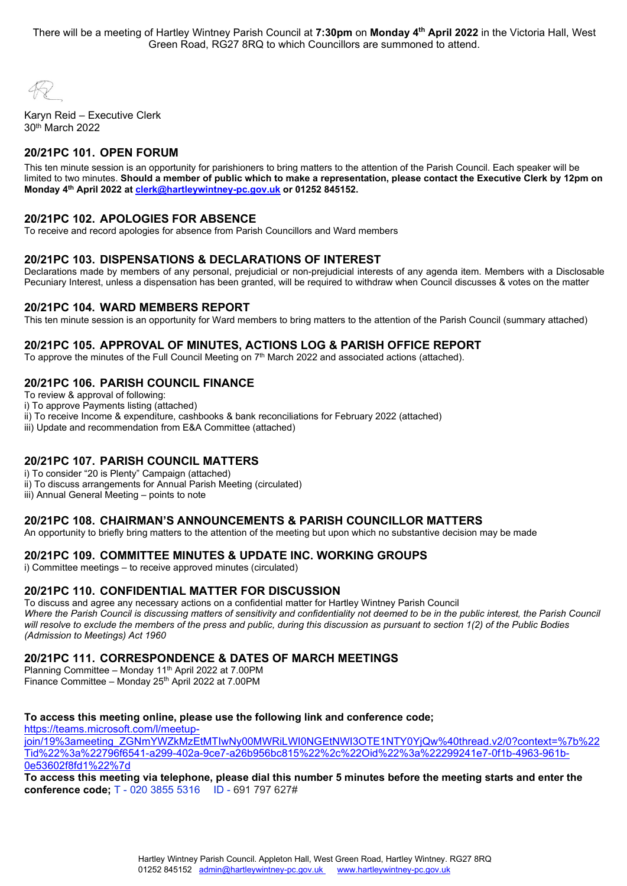There will be a meeting of Hartley Wintney Parish Council at **7:30pm** on **Monday 4th April 2022** in the Victoria Hall, West Green Road, RG27 8RQ to which Councillors are summoned to attend.

Karyn Reid – Executive Clerk 30th March 2022

# **20/21PC 101. OPEN FORUM**

This ten minute session is an opportunity for parishioners to bring matters to the attention of the Parish Council. Each speaker will be limited to two minutes. **Should a member of public which to make a representation, please contact the Executive Clerk by 12pm on Monday 4th April 2022 a[t clerk@hartleywintney-pc.gov.uk](mailto:clerk@hartleywintney-pc.gov.uk) or 01252 845152.**

### **20/21PC 102. APOLOGIES FOR ABSENCE**

To receive and record apologies for absence from Parish Councillors and Ward members

## **20/21PC 103. DISPENSATIONS & DECLARATIONS OF INTEREST**

Declarations made by members of any personal, prejudicial or non-prejudicial interests of any agenda item. Members with a Disclosable Pecuniary Interest, unless a dispensation has been granted, will be required to withdraw when Council discusses & votes on the matter

#### **20/21PC 104. WARD MEMBERS REPORT**

This ten minute session is an opportunity for Ward members to bring matters to the attention of the Parish Council (summary attached)

### **20/21PC 105. APPROVAL OF MINUTES, ACTIONS LOG & PARISH OFFICE REPORT**

To approve the minutes of the Full Council Meeting on 7<sup>th</sup> March 2022 and associated actions (attached).

#### **20/21PC 106. PARISH COUNCIL FINANCE**

To review & approval of following:

i) To approve Payments listing (attached)

ii) To receive Income & expenditure, cashbooks & bank reconciliations for February 2022 (attached)

iii) Update and recommendation from E&A Committee (attached)

#### **20/21PC 107. PARISH COUNCIL MATTERS**

i) To consider "20 is Plenty" Campaign (attached)

ii) To discuss arrangements for Annual Parish Meeting (circulated)

iii) Annual General Meeting – points to note

#### **20/21PC 108. CHAIRMAN'S ANNOUNCEMENTS & PARISH COUNCILLOR MATTERS**

An opportunity to briefly bring matters to the attention of the meeting but upon which no substantive decision may be made

#### **20/21PC 109. COMMITTEE MINUTES & UPDATE INC. WORKING GROUPS**

i) Committee meetings – to receive approved minutes (circulated)

#### **20/21PC 110. CONFIDENTIAL MATTER FOR DISCUSSION**

To discuss and agree any necessary actions on a confidential matter for Hartley Wintney Parish Council Where the Parish Council is discussing matters of sensitivity and confidentiality not deemed to be in the public interest, the Parish Council *will resolve to exclude the members of the press and public, during this discussion as pursuant to section 1(2) of the Public Bodies (Admission to Meetings) Act 1960*

## **20/21PC 111. CORRESPONDENCE & DATES OF MARCH MEETINGS**

Planning Committee – Monday 11<sup>th</sup> April 2022 at 7.00PM Finance Committee - Monday 25<sup>th</sup> April 2022 at 7.00PM

#### **To access this meeting online, please use the following link and conference code;**

[https://teams.microsoft.com/l/meetup](https://teams.microsoft.com/l/meetup-join/19%3ameeting_ZGNmYWZkMzEtMTIwNy00MWRiLWI0NGEtNWI3OTE1NTY0YjQw%40thread.v2/0?context=%7b%22Tid%22%3a%22796f6541-a299-402a-9ce7-a26b956bc815%22%2c%22Oid%22%3a%22299241e7-0f1b-4963-961b-0e53602f8fd1%22%7d)[join/19%3ameeting\\_ZGNmYWZkMzEtMTIwNy00MWRiLWI0NGEtNWI3OTE1NTY0YjQw%40thread.v2/0?context=%7b%22](https://teams.microsoft.com/l/meetup-join/19%3ameeting_ZGNmYWZkMzEtMTIwNy00MWRiLWI0NGEtNWI3OTE1NTY0YjQw%40thread.v2/0?context=%7b%22Tid%22%3a%22796f6541-a299-402a-9ce7-a26b956bc815%22%2c%22Oid%22%3a%22299241e7-0f1b-4963-961b-0e53602f8fd1%22%7d) [Tid%22%3a%22796f6541-a299-402a-9ce7-a26b956bc815%22%2c%22Oid%22%3a%22299241e7-0f1b-4963-961b-](https://teams.microsoft.com/l/meetup-join/19%3ameeting_ZGNmYWZkMzEtMTIwNy00MWRiLWI0NGEtNWI3OTE1NTY0YjQw%40thread.v2/0?context=%7b%22Tid%22%3a%22796f6541-a299-402a-9ce7-a26b956bc815%22%2c%22Oid%22%3a%22299241e7-0f1b-4963-961b-0e53602f8fd1%22%7d)[0e53602f8fd1%22%7d](https://teams.microsoft.com/l/meetup-join/19%3ameeting_ZGNmYWZkMzEtMTIwNy00MWRiLWI0NGEtNWI3OTE1NTY0YjQw%40thread.v2/0?context=%7b%22Tid%22%3a%22796f6541-a299-402a-9ce7-a26b956bc815%22%2c%22Oid%22%3a%22299241e7-0f1b-4963-961b-0e53602f8fd1%22%7d)

**To access this meeting via telephone, please dial this number 5 minutes before the meeting starts and enter the conference code;** T - 020 3855 5316 ID - 691 797 627#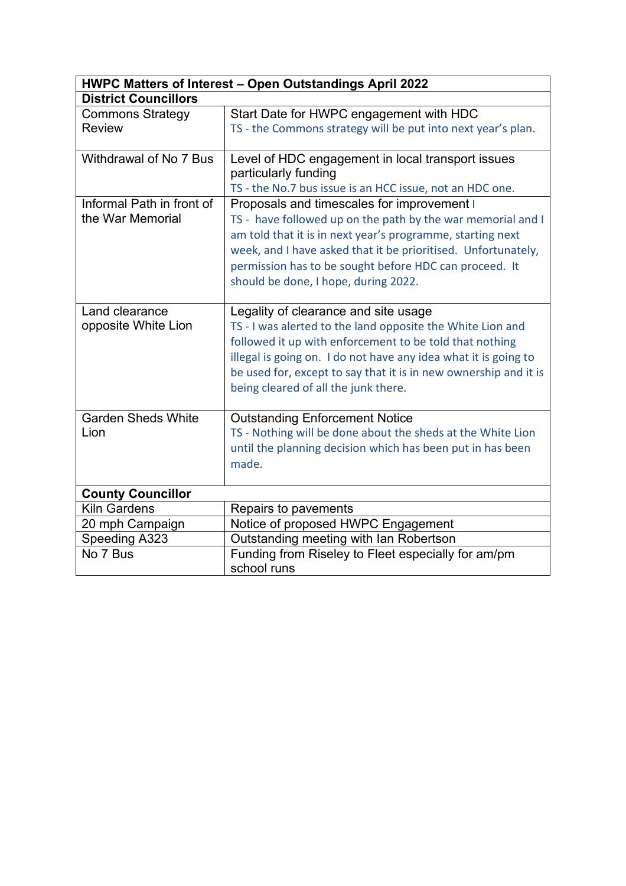| HWPC Matters of Interest - Open Outstandings April 2022 |                                                                  |  |  |  |  |
|---------------------------------------------------------|------------------------------------------------------------------|--|--|--|--|
| <b>District Councillors</b>                             |                                                                  |  |  |  |  |
| <b>Commons Strategy</b>                                 | Start Date for HWPC engagement with HDC                          |  |  |  |  |
| <b>Review</b>                                           | TS - the Commons strategy will be put into next year's plan.     |  |  |  |  |
|                                                         |                                                                  |  |  |  |  |
| Withdrawal of No 7 Bus                                  | Level of HDC engagement in local transport issues                |  |  |  |  |
|                                                         | particularly funding                                             |  |  |  |  |
|                                                         | TS - the No.7 bus issue is an HCC issue, not an HDC one.         |  |  |  |  |
| Informal Path in front of                               | Proposals and timescales for improvement I                       |  |  |  |  |
| the War Memorial                                        | TS - have followed up on the path by the war memorial and I      |  |  |  |  |
|                                                         | am told that it is in next year's programme, starting next       |  |  |  |  |
|                                                         | week, and I have asked that it be prioritised. Unfortunately,    |  |  |  |  |
|                                                         | permission has to be sought before HDC can proceed. It           |  |  |  |  |
|                                                         | should be done, I hope, during 2022.                             |  |  |  |  |
|                                                         |                                                                  |  |  |  |  |
| Land clearance                                          | Legality of clearance and site usage                             |  |  |  |  |
| opposite White Lion                                     | TS - I was alerted to the land opposite the White Lion and       |  |  |  |  |
|                                                         | followed it up with enforcement to be told that nothing          |  |  |  |  |
|                                                         | illegal is going on. I do not have any idea what it is going to  |  |  |  |  |
|                                                         | be used for, except to say that it is in new ownership and it is |  |  |  |  |
|                                                         | being cleared of all the junk there.                             |  |  |  |  |
|                                                         |                                                                  |  |  |  |  |
| <b>Garden Sheds White</b>                               | <b>Outstanding Enforcement Notice</b>                            |  |  |  |  |
| Lion                                                    | TS - Nothing will be done about the sheds at the White Lion      |  |  |  |  |
|                                                         | until the planning decision which has been put in has been       |  |  |  |  |
|                                                         | made.                                                            |  |  |  |  |
|                                                         |                                                                  |  |  |  |  |
| <b>County Councillor</b>                                |                                                                  |  |  |  |  |
| <b>Kiln Gardens</b>                                     | Repairs to pavements                                             |  |  |  |  |
| 20 mph Campaign                                         | Notice of proposed HWPC Engagement                               |  |  |  |  |
| Speeding A323                                           | Outstanding meeting with Ian Robertson                           |  |  |  |  |
| No 7 Bus                                                | Funding from Riseley to Fleet especially for am/pm               |  |  |  |  |
|                                                         | school runs                                                      |  |  |  |  |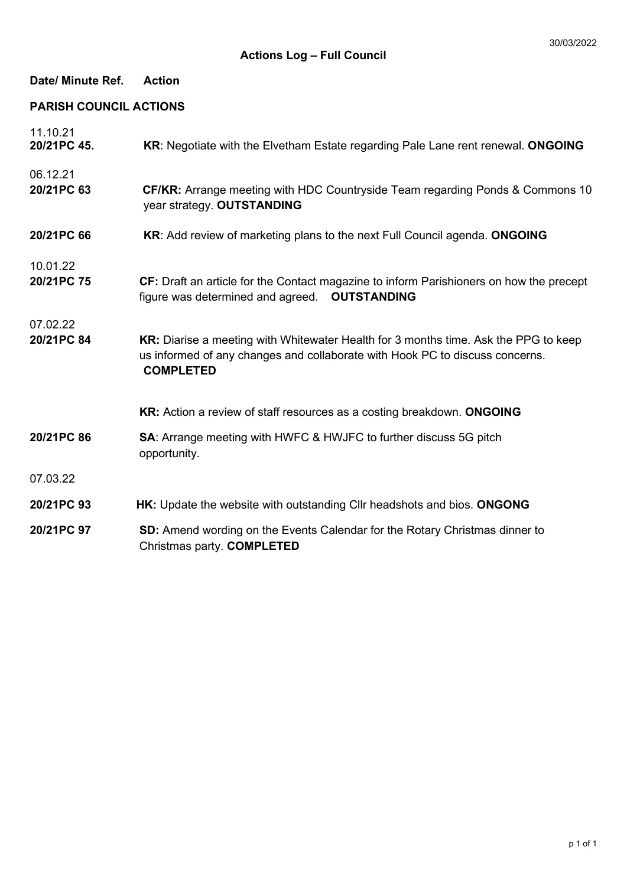| Date/ Minute Ref.             | <b>Action</b>                                                                                                                                                                           |  |  |  |
|-------------------------------|-----------------------------------------------------------------------------------------------------------------------------------------------------------------------------------------|--|--|--|
| <b>PARISH COUNCIL ACTIONS</b> |                                                                                                                                                                                         |  |  |  |
| 11.10.21<br>20/21PC 45.       | KR: Negotiate with the Elvetham Estate regarding Pale Lane rent renewal. ONGOING                                                                                                        |  |  |  |
| 06.12.21<br>20/21PC 63        | <b>CF/KR:</b> Arrange meeting with HDC Countryside Team regarding Ponds & Commons 10<br>year strategy. OUTSTANDING                                                                      |  |  |  |
| 20/21PC 66                    | KR: Add review of marketing plans to the next Full Council agenda. ONGOING                                                                                                              |  |  |  |
| 10.01.22<br>20/21PC 75        | CF: Draft an article for the Contact magazine to inform Parishioners on how the precept<br>figure was determined and agreed.  OUTSTANDING                                               |  |  |  |
| 07.02.22<br>20/21PC 84        | KR: Diarise a meeting with Whitewater Health for 3 months time. Ask the PPG to keep<br>us informed of any changes and collaborate with Hook PC to discuss concerns.<br><b>COMPLETED</b> |  |  |  |
|                               | KR: Action a review of staff resources as a costing breakdown. ONGOING                                                                                                                  |  |  |  |
| 20/21PC 86                    | <b>SA:</b> Arrange meeting with HWFC & HWJFC to further discuss 5G pitch<br>opportunity.                                                                                                |  |  |  |
| 07.03.22                      |                                                                                                                                                                                         |  |  |  |
| 20/21PC 93                    | HK: Update the website with outstanding Cllr headshots and bios. ONGONG                                                                                                                 |  |  |  |
| 20/21PC 97                    | SD: Amend wording on the Events Calendar for the Rotary Christmas dinner to<br>Christmas party. COMPLETED                                                                               |  |  |  |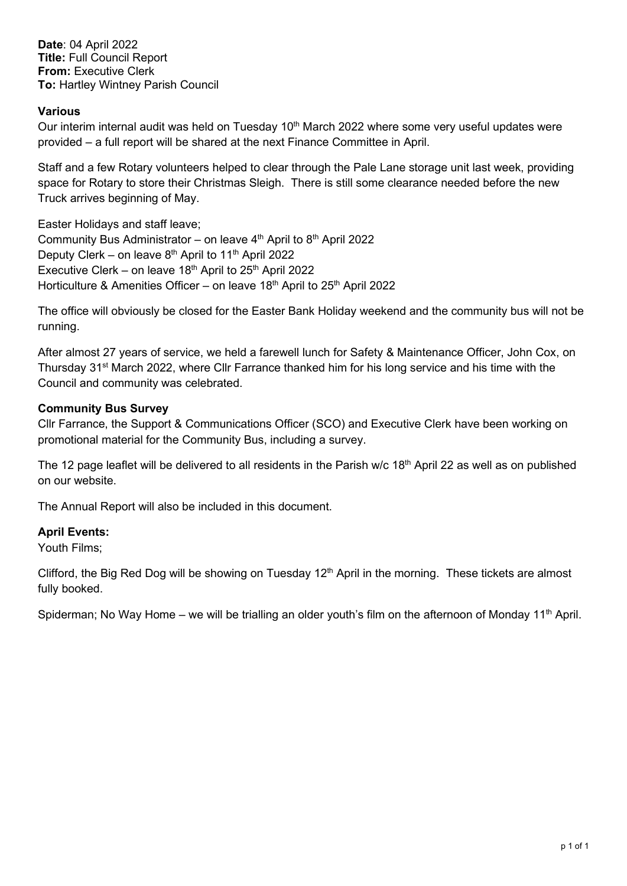**Date**: 04 April 2022 **Title:** Full Council Report **From:** Executive Clerk **To:** Hartley Wintney Parish Council

# **Various**

Our interim internal audit was held on Tuesday 10<sup>th</sup> March 2022 where some very useful updates were provided – a full report will be shared at the next Finance Committee in April.

Staff and a few Rotary volunteers helped to clear through the Pale Lane storage unit last week, providing space for Rotary to store their Christmas Sleigh. There is still some clearance needed before the new Truck arrives beginning of May.

Easter Holidays and staff leave; Community Bus Administrator – on leave  $4<sup>th</sup>$  April to  $8<sup>th</sup>$  April 2022 Deputy Clerk – on leave  $8<sup>th</sup>$  April to 11<sup>th</sup> April 2022 Executive Clerk – on leave  $18<sup>th</sup>$  April to  $25<sup>th</sup>$  April 2022 Horticulture & Amenities Officer – on leave  $18<sup>th</sup>$  April to  $25<sup>th</sup>$  April 2022

The office will obviously be closed for the Easter Bank Holiday weekend and the community bus will not be running.

After almost 27 years of service, we held a farewell lunch for Safety & Maintenance Officer, John Cox, on Thursday 31<sup>st</sup> March 2022, where CIIr Farrance thanked him for his long service and his time with the Council and community was celebrated.

# **Community Bus Survey**

Cllr Farrance, the Support & Communications Officer (SCO) and Executive Clerk have been working on promotional material for the Community Bus, including a survey.

The 12 page leaflet will be delivered to all residents in the Parish w/c 18<sup>th</sup> April 22 as well as on published on our website.

The Annual Report will also be included in this document.

# **April Events:**

Youth Films;

Clifford, the Big Red Dog will be showing on Tuesday 12<sup>th</sup> April in the morning. These tickets are almost fully booked.

Spiderman; No Way Home – we will be trialling an older youth's film on the afternoon of Monday 11<sup>th</sup> April.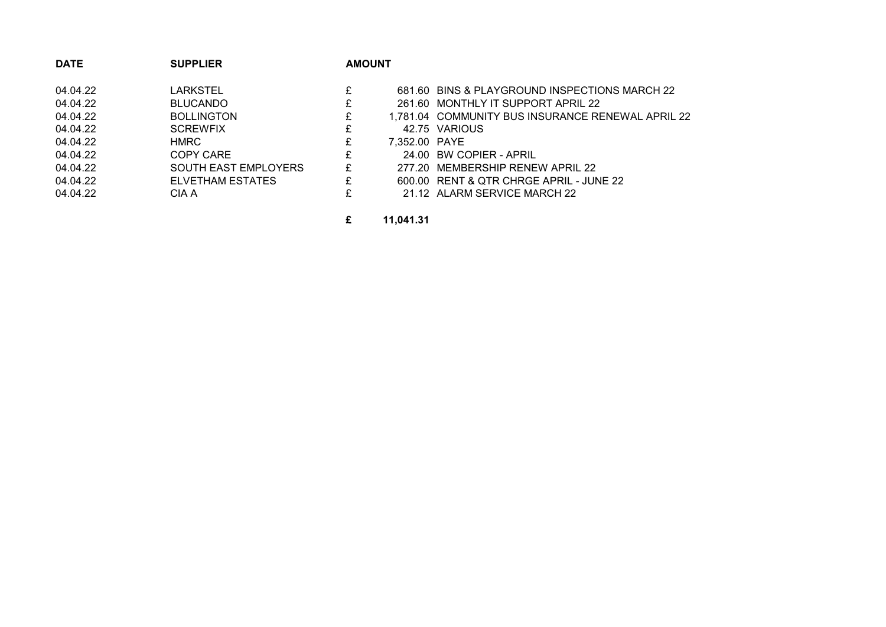| <b>DATE</b> | <b>SUPPLIER</b>             | <b>AMOUNT</b> |               |                                                   |
|-------------|-----------------------------|---------------|---------------|---------------------------------------------------|
| 04.04.22    | LARKSTEL                    | £             |               | 681.60 BINS & PLAYGROUND INSPECTIONS MARCH 22     |
| 04.04.22    | <b>BLUCANDO</b>             | £             |               | 261.60 MONTHLY IT SUPPORT APRIL 22                |
| 04.04.22    | <b>BOLLINGTON</b>           | £             |               | 1,781.04 COMMUNITY BUS INSURANCE RENEWAL APRIL 22 |
| 04.04.22    | <b>SCREWFIX</b>             | £             |               | 42.75 VARIOUS                                     |
| 04.04.22    | HMRC                        | £             | 7,352.00 PAYE |                                                   |
| 04.04.22    | COPY CARE                   | £             |               | 24.00 BW COPIER - APRIL                           |
| 04.04.22    | <b>SOUTH EAST EMPLOYERS</b> | £             |               | 277.20 MEMBERSHIP RENEW APRIL 22                  |
| 04.04.22    | ELVETHAM ESTATES            | £             |               | 600.00 RENT & QTR CHRGE APRIL - JUNE 22           |
| 04.04.22    | CIA A                       | £             |               | 21.12 ALARM SERVICE MARCH 22                      |

**£ 11,041.31**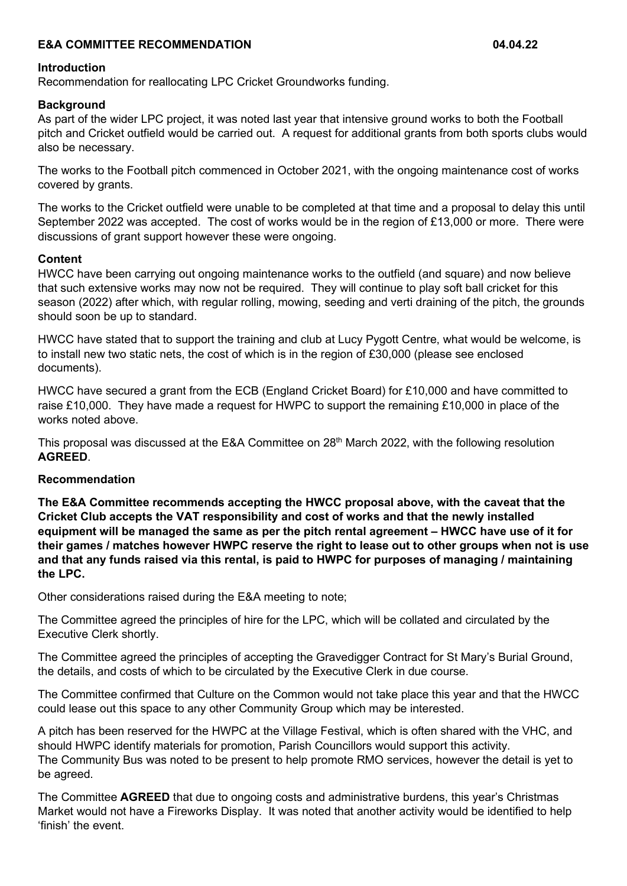# **E&A COMMITTEE RECOMMENDATION 04.04.22**

## **Introduction**

Recommendation for reallocating LPC Cricket Groundworks funding.

# **Background**

As part of the wider LPC project, it was noted last year that intensive ground works to both the Football pitch and Cricket outfield would be carried out. A request for additional grants from both sports clubs would also be necessary.

The works to the Football pitch commenced in October 2021, with the ongoing maintenance cost of works covered by grants.

The works to the Cricket outfield were unable to be completed at that time and a proposal to delay this until September 2022 was accepted. The cost of works would be in the region of £13,000 or more. There were discussions of grant support however these were ongoing.

## **Content**

HWCC have been carrying out ongoing maintenance works to the outfield (and square) and now believe that such extensive works may now not be required. They will continue to play soft ball cricket for this season (2022) after which, with regular rolling, mowing, seeding and verti draining of the pitch, the grounds should soon be up to standard.

HWCC have stated that to support the training and club at Lucy Pygott Centre, what would be welcome, is to install new two static nets, the cost of which is in the region of £30,000 (please see enclosed documents).

HWCC have secured a grant from the ECB (England Cricket Board) for £10,000 and have committed to raise £10,000. They have made a request for HWPC to support the remaining £10,000 in place of the works noted above.

This proposal was discussed at the E&A Committee on  $28<sup>th</sup>$  March 2022, with the following resolution **AGREED**.

## **Recommendation**

**The E&A Committee recommends accepting the HWCC proposal above, with the caveat that the Cricket Club accepts the VAT responsibility and cost of works and that the newly installed equipment will be managed the same as per the pitch rental agreement – HWCC have use of it for their games / matches however HWPC reserve the right to lease out to other groups when not is use and that any funds raised via this rental, is paid to HWPC for purposes of managing / maintaining the LPC.**

Other considerations raised during the E&A meeting to note;

The Committee agreed the principles of hire for the LPC, which will be collated and circulated by the Executive Clerk shortly.

The Committee agreed the principles of accepting the Gravedigger Contract for St Mary's Burial Ground, the details, and costs of which to be circulated by the Executive Clerk in due course.

The Committee confirmed that Culture on the Common would not take place this year and that the HWCC could lease out this space to any other Community Group which may be interested.

A pitch has been reserved for the HWPC at the Village Festival, which is often shared with the VHC, and should HWPC identify materials for promotion, Parish Councillors would support this activity. The Community Bus was noted to be present to help promote RMO services, however the detail is yet to be agreed.

The Committee **AGREED** that due to ongoing costs and administrative burdens, this year's Christmas Market would not have a Fireworks Display. It was noted that another activity would be identified to help 'finish' the event.